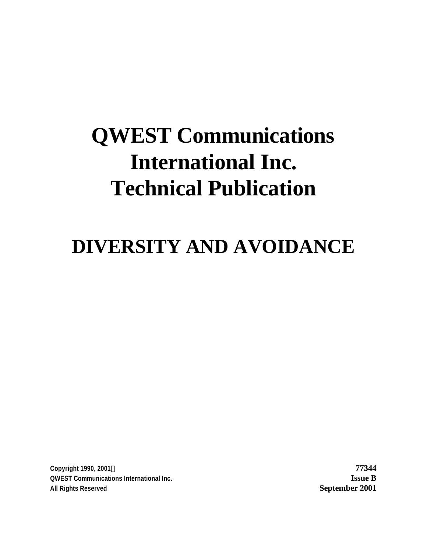# **QWEST Communications International Inc. Technical Publication**

# **DIVERSITY AND AVOIDANCE**

**Copyright 1990, 2001Ó 77344 QWEST Communications International Inc. Issue B All Rights Reserved September 2001**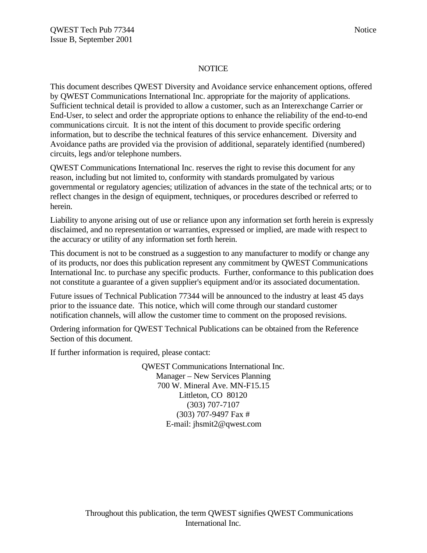## **NOTICE**

This document describes QWEST Diversity and Avoidance service enhancement options, offered by QWEST Communications International Inc. appropriate for the majority of applications. Sufficient technical detail is provided to allow a customer, such as an Interexchange Carrier or End-User, to select and order the appropriate options to enhance the reliability of the end-to-end communications circuit. It is not the intent of this document to provide specific ordering information, but to describe the technical features of this service enhancement. Diversity and Avoidance paths are provided via the provision of additional, separately identified (numbered) circuits, legs and/or telephone numbers.

QWEST Communications International Inc. reserves the right to revise this document for any reason, including but not limited to, conformity with standards promulgated by various governmental or regulatory agencies; utilization of advances in the state of the technical arts; or to reflect changes in the design of equipment, techniques, or procedures described or referred to herein.

Liability to anyone arising out of use or reliance upon any information set forth herein is expressly disclaimed, and no representation or warranties, expressed or implied, are made with respect to the accuracy or utility of any information set forth herein.

This document is not to be construed as a suggestion to any manufacturer to modify or change any of its products, nor does this publication represent any commitment by QWEST Communications International Inc. to purchase any specific products. Further, conformance to this publication does not constitute a guarantee of a given supplier's equipment and/or its associated documentation.

Future issues of Technical Publication 77344 will be announced to the industry at least 45 days prior to the issuance date. This notice, which will come through our standard customer notification channels, will allow the customer time to comment on the proposed revisions.

Ordering information for QWEST Technical Publications can be obtained from the Reference Section of this document.

If further information is required, please contact:

QWEST Communications International Inc. Manager – New Services Planning 700 W. Mineral Ave. MN-F15.15 Littleton, CO 80120 (303) 707-7107 (303) 707-9497 Fax # E-mail: jhsmit2@qwest.com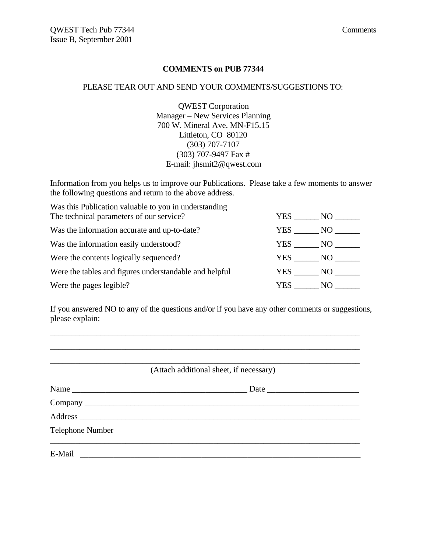#### **COMMENTS on PUB 77344**

#### PLEASE TEAR OUT AND SEND YOUR COMMENTS/SUGGESTIONS TO:

QWEST Corporation Manager – New Services Planning 700 W. Mineral Ave. MN-F15.15 Littleton, CO 80120 (303) 707-7107 (303) 707-9497 Fax # E-mail: jhsmit2@qwest.com

Information from you helps us to improve our Publications. Please take a few moments to answer the following questions and return to the above address.

| The technical parameters of our service?<br>YES<br>$NO$ <sub>——</sub>     |
|---------------------------------------------------------------------------|
|                                                                           |
| Was the information accurate and up-to-date?<br>YES<br>$NO$ <sub>——</sub> |
| Was the information easily understood?<br>YES NO                          |
| Were the contents logically sequenced?<br>YES<br>NO                       |
| Were the tables and figures understandable and helpful<br>YES NO          |
| Were the pages legible?<br>YES<br>NO.                                     |

If you answered NO to any of the questions and/or if you have any other comments or suggestions, please explain:

\_\_\_\_\_\_\_\_\_\_\_\_\_\_\_\_\_\_\_\_\_\_\_\_\_\_\_\_\_\_\_\_\_\_\_\_\_\_\_\_\_\_\_\_\_\_\_\_\_\_\_\_\_\_\_\_\_\_\_\_\_\_\_\_\_\_\_\_\_\_\_\_\_\_ \_\_\_\_\_\_\_\_\_\_\_\_\_\_\_\_\_\_\_\_\_\_\_\_\_\_\_\_\_\_\_\_\_\_\_\_\_\_\_\_\_\_\_\_\_\_\_\_\_\_\_\_\_\_\_\_\_\_\_\_\_\_\_\_\_\_\_\_\_\_\_\_\_\_

|                         | (Attach additional sheet, if necessary) |
|-------------------------|-----------------------------------------|
|                         |                                         |
|                         |                                         |
|                         |                                         |
| <b>Telephone Number</b> |                                         |
|                         |                                         |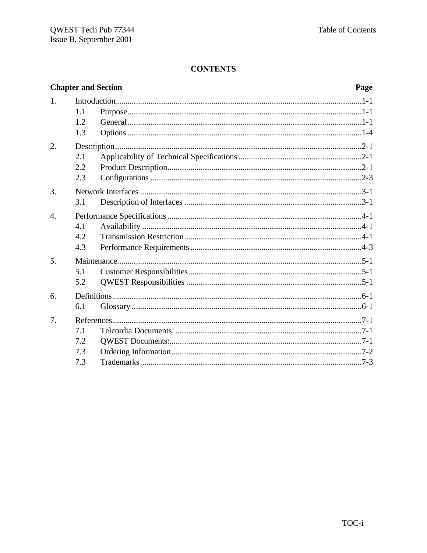|                  |                          | <b>Chapter and Section</b><br>Page |  |
|------------------|--------------------------|------------------------------------|--|
| 1.               | 1.1<br>1.2.<br>1.3       |                                    |  |
| 2.               | 2.1<br>2.2<br>2.3        |                                    |  |
| 3.               | 3.1                      |                                    |  |
| $\overline{4}$ . | 4.1<br>4.2<br>4.3        |                                    |  |
| 5.               | 5.1<br>5.2               |                                    |  |
| 6.               | 6.1                      |                                    |  |
| 7.               | 7.1<br>7.2<br>7.3<br>7.3 |                                    |  |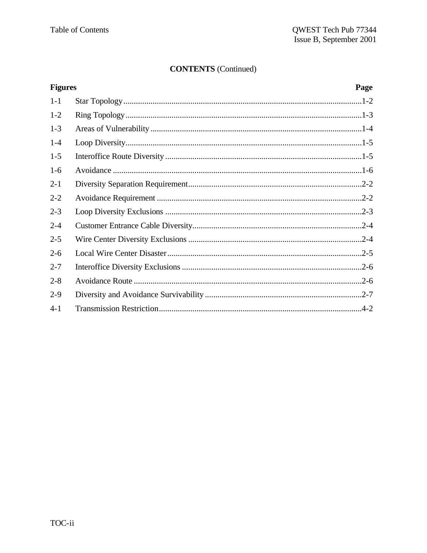## **CONTENTS** (Continued)

| <b>Figures</b> |  | Page |
|----------------|--|------|
| $1-1$          |  |      |
| $1 - 2$        |  |      |
| $1 - 3$        |  |      |
| $1-4$          |  |      |
| $1 - 5$        |  |      |
| $1-6$          |  |      |
| $2 - 1$        |  |      |
| $2 - 2$        |  |      |
| $2 - 3$        |  |      |
| $2 - 4$        |  |      |
| $2 - 5$        |  |      |
| $2 - 6$        |  |      |
| $2 - 7$        |  |      |
| $2 - 8$        |  |      |
| $2-9$          |  |      |
| $4 - 1$        |  |      |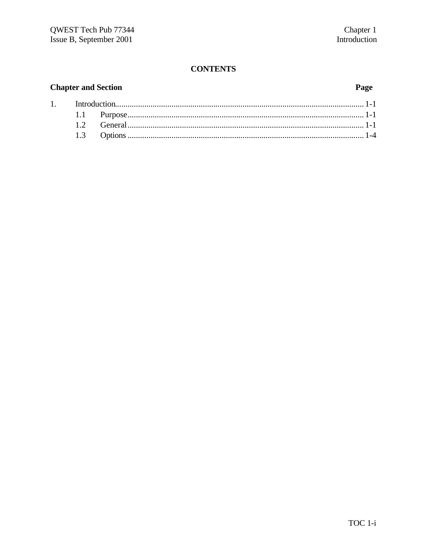## **Chapter and Section**

## Page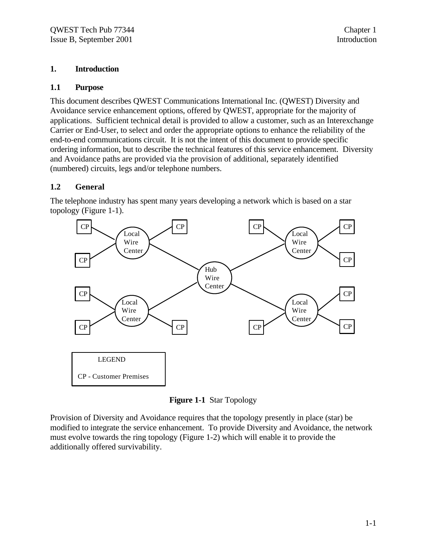## **1. Introduction**

## **1.1 Purpose**

This document describes QWEST Communications International Inc. (QWEST) Diversity and Avoidance service enhancement options, offered by QWEST, appropriate for the majority of applications. Sufficient technical detail is provided to allow a customer, such as an Interexchange Carrier or End-User, to select and order the appropriate options to enhance the reliability of the end-to-end communications circuit. It is not the intent of this document to provide specific ordering information, but to describe the technical features of this service enhancement. Diversity and Avoidance paths are provided via the provision of additional, separately identified (numbered) circuits, legs and/or telephone numbers.

## **1.2 General**

The telephone industry has spent many years developing a network which is based on a star topology (Figure 1-1).



**Figure 1-1** Star Topology

Provision of Diversity and Avoidance requires that the topology presently in place (star) be modified to integrate the service enhancement. To provide Diversity and Avoidance, the network must evolve towards the ring topology (Figure 1-2) which will enable it to provide the additionally offered survivability.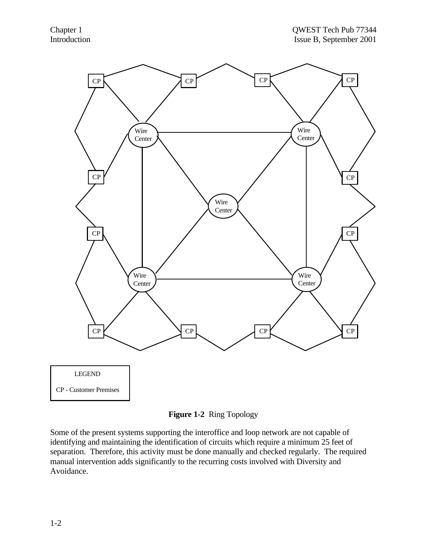



Some of the present systems supporting the interoffice and loop network are not capable of identifying and maintaining the identification of circuits which require a minimum 25 feet of separation. Therefore, this activity must be done manually and checked regularly. The required manual intervention adds significantly to the recurring costs involved with Diversity and Avoidance.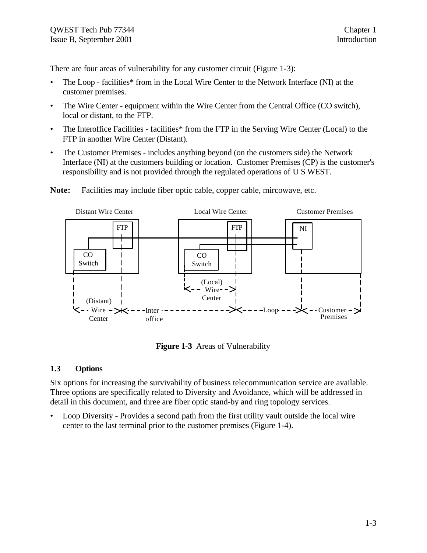There are four areas of vulnerability for any customer circuit (Figure 1-3):

- The Loop facilities\* from in the Local Wire Center to the Network Interface (NI) at the customer premises.
- The Wire Center equipment within the Wire Center from the Central Office (CO switch), local or distant, to the FTP.
- The Interoffice Facilities facilities\* from the FTP in the Serving Wire Center (Local) to the FTP in another Wire Center (Distant).
- The Customer Premises includes anything beyond (on the customers side) the Network Interface (NI) at the customers building or location. Customer Premises (CP) is the customer's responsibility and is not provided through the regulated operations of U S WEST.



**Note:** Facilities may include fiber optic cable, copper cable, mircowave, etc.

**Figure 1-3** Areas of Vulnerability

## **1.3 Options**

Six options for increasing the survivability of business telecommunication service are available. Three options are specifically related to Diversity and Avoidance, which will be addressed in detail in this document, and three are fiber optic stand-by and ring topology services.

• Loop Diversity - Provides a second path from the first utility vault outside the local wire center to the last terminal prior to the customer premises (Figure 1-4).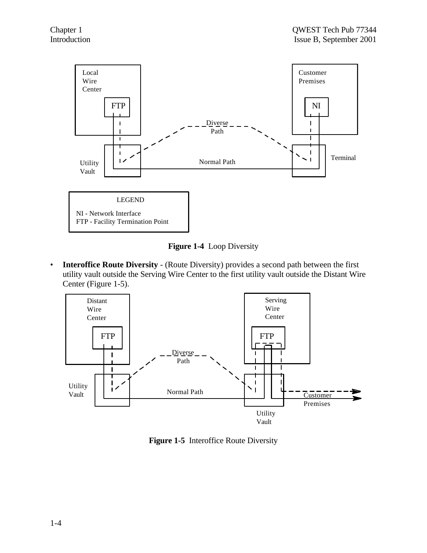

**Figure 1-4** Loop Diversity

• **Interoffice Route Diversity** - (Route Diversity) provides a second path between the first utility vault outside the Serving Wire Center to the first utility vault outside the Distant Wire Center (Figure 1-5).



**Figure 1-5** Interoffice Route Diversity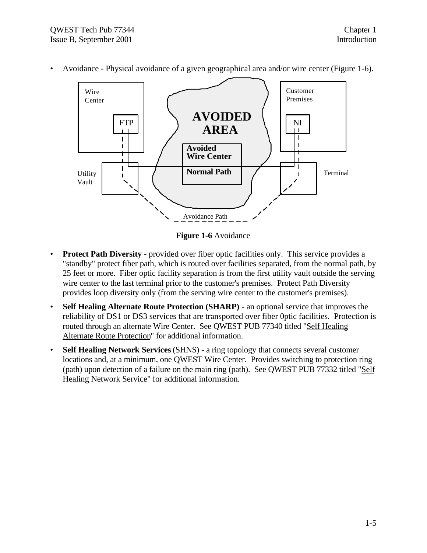

• Avoidance - Physical avoidance of a given geographical area and/or wire center (Figure 1-6).

**Figure 1-6** Avoidance

- **Protect Path Diversity** provided over fiber optic facilities only. This service provides a "standby" protect fiber path, which is routed over facilities separated, from the normal path, by 25 feet or more. Fiber optic facility separation is from the first utility vault outside the serving wire center to the last terminal prior to the customer's premises. Protect Path Diversity provides loop diversity only (from the serving wire center to the customer's premises).
- **Self Healing Alternate Route Protection (SHARP)** an optional service that improves the reliability of DS1 or DS3 services that are transported over fiber 0ptic facilities. Protection is routed through an alternate Wire Center. See QWEST PUB 77340 titled "Self Healing Alternate Route Protection" for additional information.
- **Self Healing Network Services** (SHNS) a ring topology that connects several customer locations and, at a minimum, one QWEST Wire Center. Provides switching to protection ring (path) upon detection of a failure on the main ring (path). See QWEST PUB 77332 titled "Self Healing Network Service" for additional information.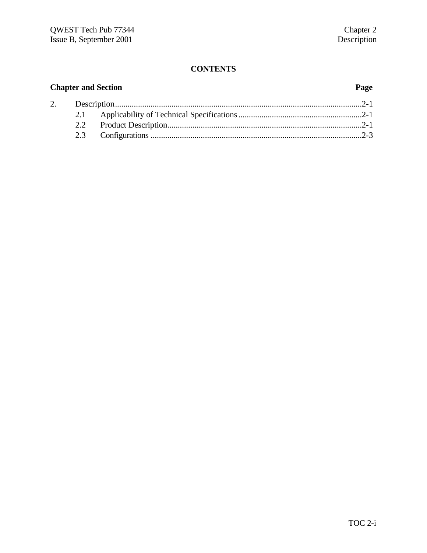## **Chapter and Section Page** 2. Description......................................................................................................................2-1 2.1 Applicability of Technical Specifications...........................................................2-1 2.2 Product Description.............................................................................................2-1 2.3 Configurations .....................................................................................................2-3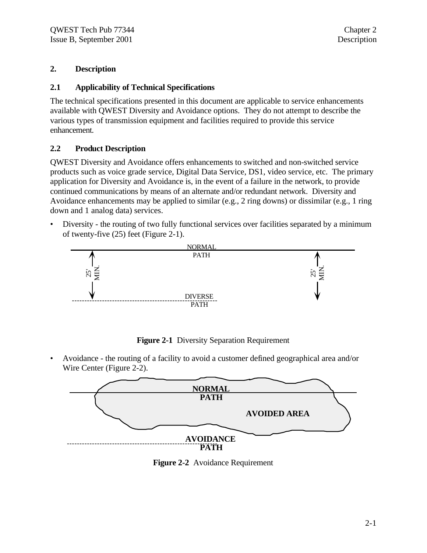## **2. Description**

## **2.1 Applicability of Technical Specifications**

The technical specifications presented in this document are applicable to service enhancements available with QWEST Diversity and Avoidance options. They do not attempt to describe the various types of transmission equipment and facilities required to provide this service enhancement.

## **2.2 Product Description**

QWEST Diversity and Avoidance offers enhancements to switched and non-switched service products such as voice grade service, Digital Data Service, DS1, video service, etc. The primary application for Diversity and Avoidance is, in the event of a failure in the network, to provide continued communications by means of an alternate and/or redundant network. Diversity and Avoidance enhancements may be applied to similar (e.g., 2 ring downs) or dissimilar (e.g., 1 ring down and 1 analog data) services.

• Diversity - the routing of two fully functional services over facilities separated by a minimum of twenty-five (25) feet (Figure 2-1).



**Figure 2-1** Diversity Separation Requirement

• Avoidance - the routing of a facility to avoid a customer defined geographical area and/or Wire Center (Figure 2-2).



**Figure 2-2** Avoidance Requirement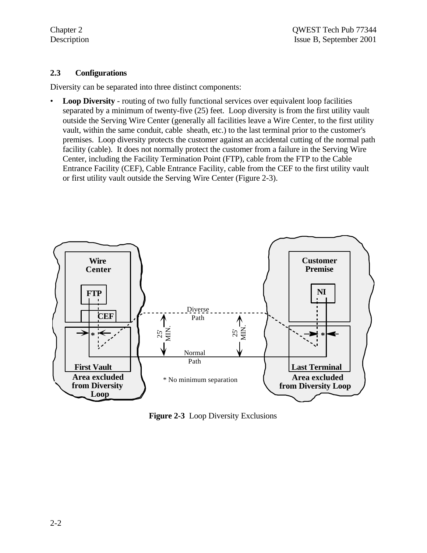## **2.3 Configurations**

Diversity can be separated into three distinct components:

• **Loop Diversity** - routing of two fully functional services over equivalent loop facilities separated by a minimum of twenty-five (25) feet. Loop diversity is from the first utility vault outside the Serving Wire Center (generally all facilities leave a Wire Center, to the first utility vault, within the same conduit, cable sheath, etc.) to the last terminal prior to the customer's premises. Loop diversity protects the customer against an accidental cutting of the normal path facility (cable). It does not normally protect the customer from a failure in the Serving Wire Center, including the Facility Termination Point (FTP), cable from the FTP to the Cable Entrance Facility (CEF), Cable Entrance Facility, cable from the CEF to the first utility vault or first utility vault outside the Serving Wire Center (Figure 2-3).



**Figure 2-3** Loop Diversity Exclusions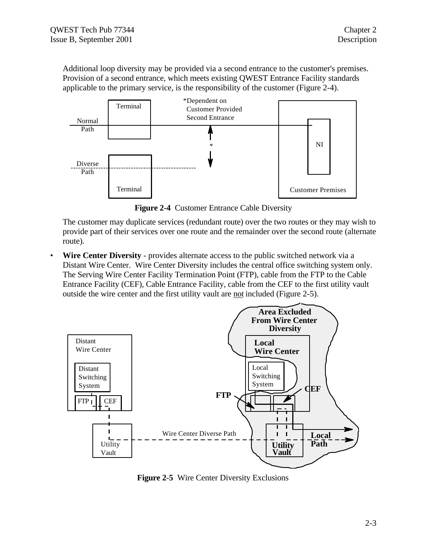Additional loop diversity may be provided via a second entrance to the customer's premises. Provision of a second entrance, which meets existing QWEST Entrance Facility standards applicable to the primary service, is the responsibility of the customer (Figure 2-4).



**Figure 2-4** Customer Entrance Cable Diversity

The customer may duplicate services (redundant route) over the two routes or they may wish to provide part of their services over one route and the remainder over the second route (alternate route).

• **Wire Center Diversity** - provides alternate access to the public switched network via a Distant Wire Center. Wire Center Diversity includes the central office switching system only. The Serving Wire Center Facility Termination Point (FTP), cable from the FTP to the Cable Entrance Facility (CEF), Cable Entrance Facility, cable from the CEF to the first utility vault outside the wire center and the first utility vault are not included (Figure 2-5).



**Figure 2-5** Wire Center Diversity Exclusions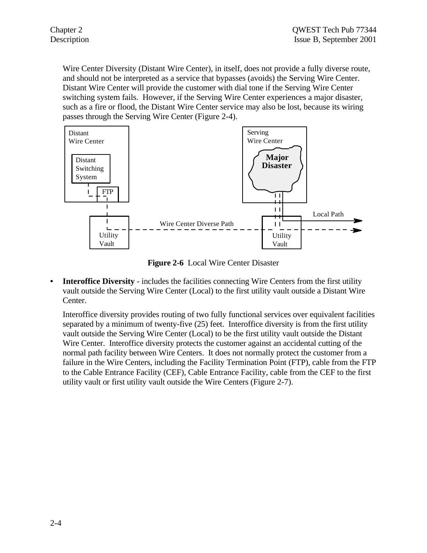Wire Center Diversity (Distant Wire Center), in itself, does not provide a fully diverse route, and should not be interpreted as a service that bypasses (avoids) the Serving Wire Center. Distant Wire Center will provide the customer with dial tone if the Serving Wire Center switching system fails. However, if the Serving Wire Center experiences a major disaster, such as a fire or flood, the Distant Wire Center service may also be lost, because its wiring passes through the Serving Wire Center (Figure 2-4).



**Figure 2-6** Local Wire Center Disaster

**• Interoffice Diversity** - includes the facilities connecting Wire Centers from the first utility vault outside the Serving Wire Center (Local) to the first utility vault outside a Distant Wire Center.

Interoffice diversity provides routing of two fully functional services over equivalent facilities separated by a minimum of twenty-five (25) feet. Interoffice diversity is from the first utility vault outside the Serving Wire Center (Local) to be the first utility vault outside the Distant Wire Center. Interoffice diversity protects the customer against an accidental cutting of the normal path facility between Wire Centers. It does not normally protect the customer from a failure in the Wire Centers, including the Facility Termination Point (FTP), cable from the FTP to the Cable Entrance Facility (CEF), Cable Entrance Facility, cable from the CEF to the first utility vault or first utility vault outside the Wire Centers (Figure 2-7).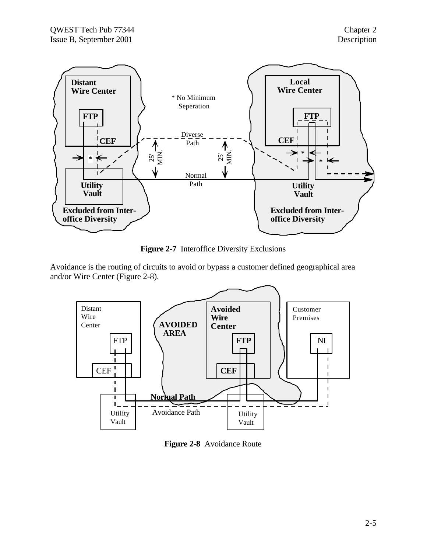

**Figure 2-7** Interoffice Diversity Exclusions

Avoidance is the routing of circuits to avoid or bypass a customer defined geographical area and/or Wire Center (Figure 2-8).



**Figure 2-8** Avoidance Route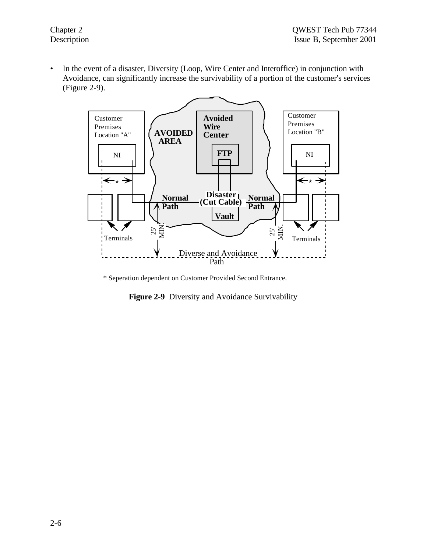• In the event of a disaster, Diversity (Loop, Wire Center and Interoffice) in conjunction with Avoidance, can significantly increase the survivability of a portion of the customer's services (Figure 2-9).



\* Seperation dependent on Customer Provided Second Entrance.

**Figure 2-9** Diversity and Avoidance Survivability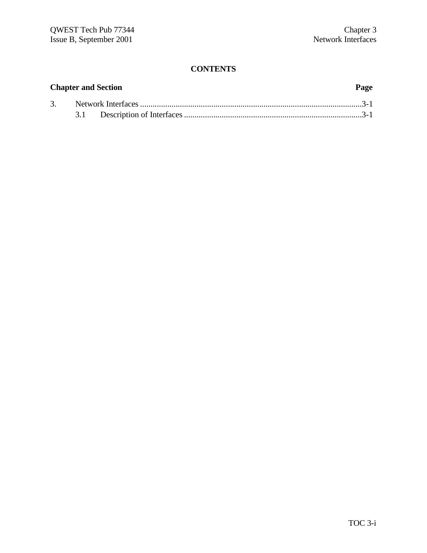## **Chapter and Section Page** 3. Network Interfaces..........................................................................................................3-1 3.1 Description of Interfaces.....................................................................................3-1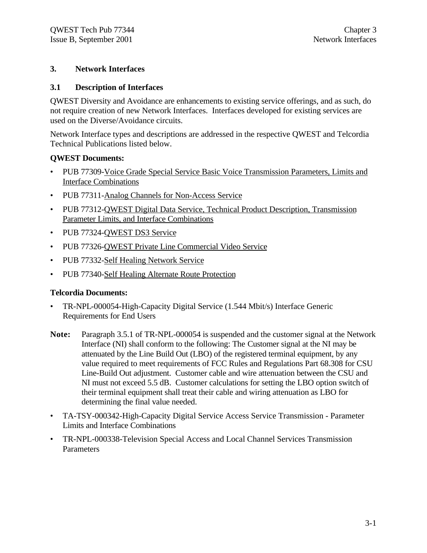## **3. Network Interfaces**

## **3.1 Description of Interfaces**

QWEST Diversity and Avoidance are enhancements to existing service offerings, and as such, do not require creation of new Network Interfaces. Interfaces developed for existing services are used on the Diverse/Avoidance circuits.

Network Interface types and descriptions are addressed in the respective QWEST and Telcordia Technical Publications listed below.

## **QWEST Documents:**

- PUB 77309-Voice Grade Special Service Basic Voice Transmission Parameters, Limits and Interface Combinations
- PUB 77311-Analog Channels for Non-Access Service
- PUB 77312-QWEST Digital Data Service, Technical Product Description, Transmission Parameter Limits, and Interface Combinations
- PUB 77324-QWEST DS3 Service
- PUB 77326-QWEST Private Line Commercial Video Service
- PUB 77332-Self Healing Network Service
- PUB 77340-Self Healing Alternate Route Protection

## **Telcordia Documents:**

- TR-NPL-000054-High-Capacity Digital Service (1.544 Mbit/s) Interface Generic Requirements for End Users
- **Note:** Paragraph 3.5.1 of TR-NPL-000054 is suspended and the customer signal at the Network Interface (NI) shall conform to the following: The Customer signal at the NI may be attenuated by the Line Build Out (LBO) of the registered terminal equipment, by any value required to meet requirements of FCC Rules and Regulations Part 68.308 for CSU Line-Build Out adjustment. Customer cable and wire attenuation between the CSU and NI must not exceed 5.5 dB. Customer calculations for setting the LBO option switch of their terminal equipment shall treat their cable and wiring attenuation as LBO for determining the final value needed.
- TA-TSY-000342-High-Capacity Digital Service Access Service Transmission Parameter Limits and Interface Combinations
- TR-NPL-000338-Television Special Access and Local Channel Services Transmission **Parameters**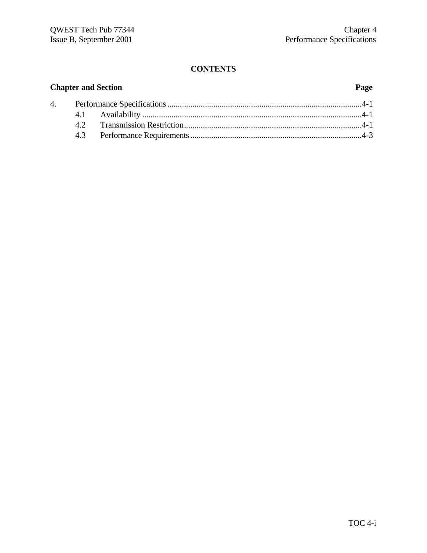## **Chapter and Section Page**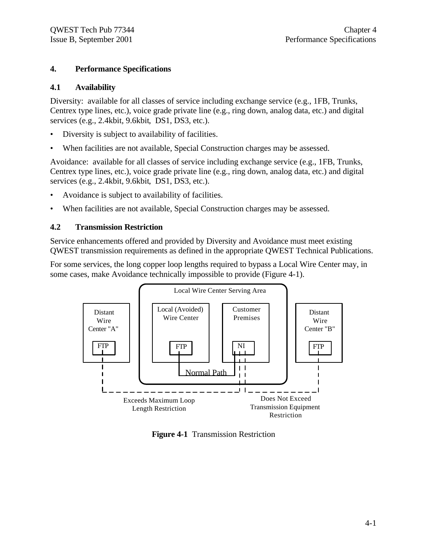## **4. Performance Specifications**

## **4.1 Availability**

Diversity: available for all classes of service including exchange service (e.g., 1FB, Trunks, Centrex type lines, etc.), voice grade private line (e.g., ring down, analog data, etc.) and digital services (e.g., 2.4kbit, 9.6kbit, DS1, DS3, etc.).

- Diversity is subject to availability of facilities.
- When facilities are not available, Special Construction charges may be assessed.

Avoidance: available for all classes of service including exchange service (e.g., 1FB, Trunks, Centrex type lines, etc.), voice grade private line (e.g., ring down, analog data, etc.) and digital services (e.g., 2.4kbit, 9.6kbit, DS1, DS3, etc.).

- Avoidance is subject to availability of facilities.
- When facilities are not available, Special Construction charges may be assessed.

## **4.2 Transmission Restriction**

Service enhancements offered and provided by Diversity and Avoidance must meet existing QWEST transmission requirements as defined in the appropriate QWEST Technical Publications.

For some services, the long copper loop lengths required to bypass a Local Wire Center may, in some cases, make Avoidance technically impossible to provide (Figure 4-1).



**Figure 4-1** Transmission Restriction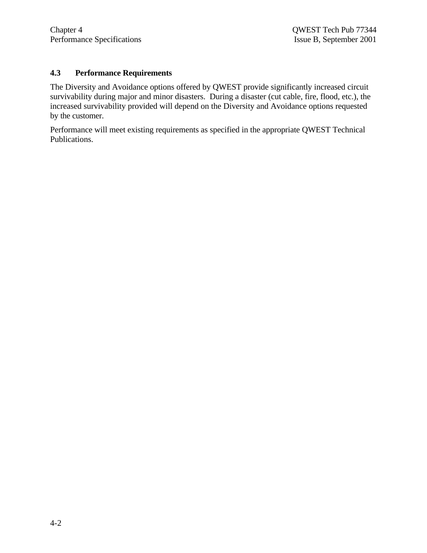## **4.3 Performance Requirements**

The Diversity and Avoidance options offered by QWEST provide significantly increased circuit survivability during major and minor disasters. During a disaster (cut cable, fire, flood, etc.), the increased survivability provided will depend on the Diversity and Avoidance options requested by the customer.

Performance will meet existing requirements as specified in the appropriate QWEST Technical Publications.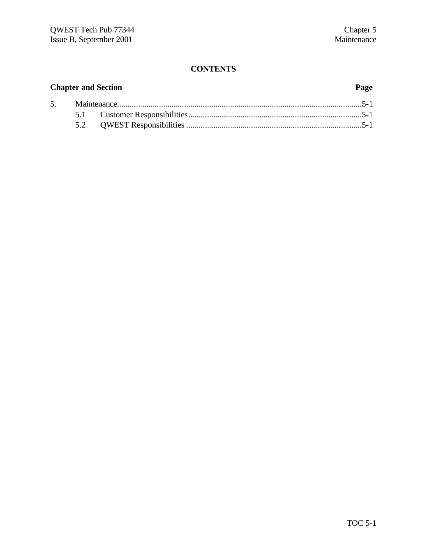## **Chapter and Section Page** 5. Maintenance.....................................................................................................................5-1 5.1 Customer Responsibilities...................................................................................5-1 5.2 QWEST Responsibilities ....................................................................................5-1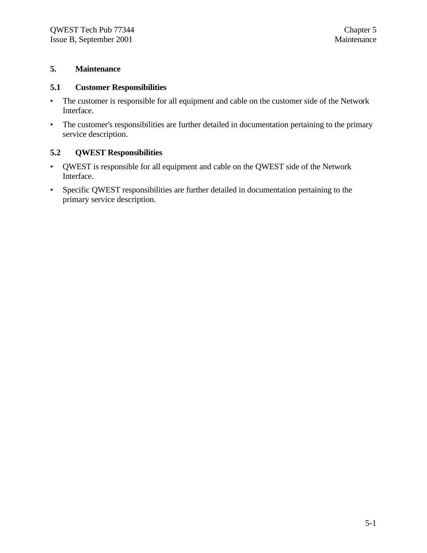## **5. Maintenance**

## **5.1 Customer Responsibilities**

- The customer is responsible for all equipment and cable on the customer side of the Network Interface.
- The customer's responsibilities are further detailed in documentation pertaining to the primary service description.

## **5.2 QWEST Responsibilities**

- QWEST is responsible for all equipment and cable on the QWEST side of the Network Interface.
- Specific QWEST responsibilities are further detailed in documentation pertaining to the primary service description.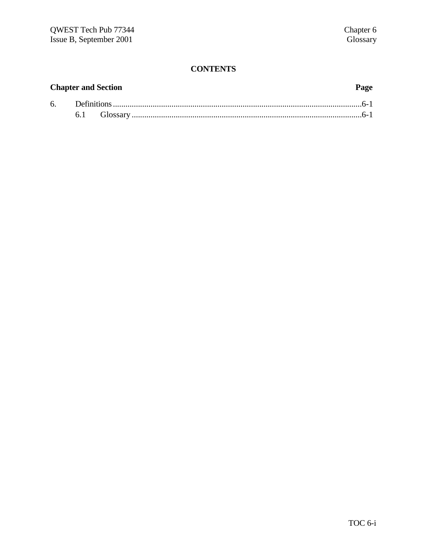## **Chapter and Section Page** 6. Definitions.......................................................................................................................6-1 6.1 Glossary ..............................................................................................................6-1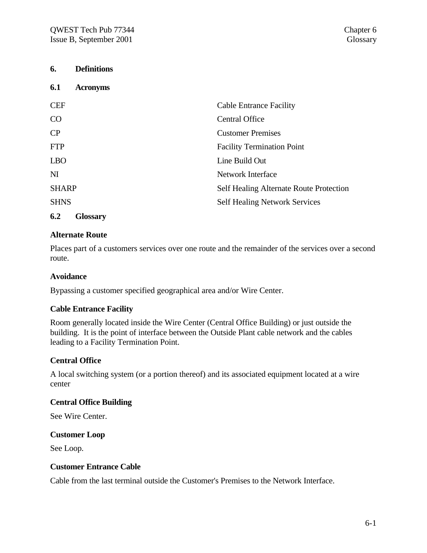| 6.             | <b>Definitions</b> |                                                |
|----------------|--------------------|------------------------------------------------|
| 6.1            | <b>Acronyms</b>    |                                                |
| <b>CEF</b>     |                    | <b>Cable Entrance Facility</b>                 |
| CO             |                    | <b>Central Office</b>                          |
| CP             |                    | <b>Customer Premises</b>                       |
| <b>FTP</b>     |                    | <b>Facility Termination Point</b>              |
| <b>LBO</b>     |                    | Line Build Out                                 |
| N <sub>I</sub> |                    | Network Interface                              |
| <b>SHARP</b>   |                    | <b>Self Healing Alternate Route Protection</b> |
| <b>SHNS</b>    |                    | <b>Self Healing Network Services</b>           |
| 6.2            | <b>Glossary</b>    |                                                |

## **Alternate Route**

Places part of a customers services over one route and the remainder of the services over a second route.

## **Avoidance**

Bypassing a customer specified geographical area and/or Wire Center.

## **Cable Entrance Facility**

Room generally located inside the Wire Center (Central Office Building) or just outside the building. It is the point of interface between the Outside Plant cable network and the cables leading to a Facility Termination Point.

## **Central Office**

A local switching system (or a portion thereof) and its associated equipment located at a wire center

## **Central Office Building**

See Wire Center.

## **Customer Loop**

See Loop.

## **Customer Entrance Cable**

Cable from the last terminal outside the Customer's Premises to the Network Interface.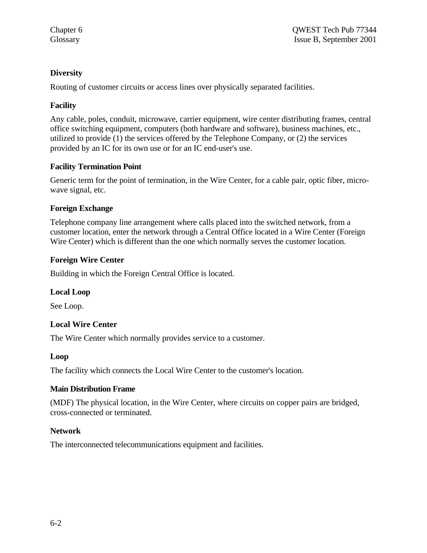## **Diversity**

Routing of customer circuits or access lines over physically separated facilities.

## **Facility**

Any cable, poles, conduit, microwave, carrier equipment, wire center distributing frames, central office switching equipment, computers (both hardware and software), business machines, etc., utilized to provide (1) the services offered by the Telephone Company, or (2) the services provided by an IC for its own use or for an IC end-user's use.

## **Facility Termination Point**

Generic term for the point of termination, in the Wire Center, for a cable pair, optic fiber, microwave signal, etc.

## **Foreign Exchange**

Telephone company line arrangement where calls placed into the switched network, from a customer location, enter the network through a Central Office located in a Wire Center (Foreign Wire Center) which is different than the one which normally serves the customer location.

## **Foreign Wire Center**

Building in which the Foreign Central Office is located.

## **Local Loop**

See Loop.

## **Local Wire Center**

The Wire Center which normally provides service to a customer.

## **Loop**

The facility which connects the Local Wire Center to the customer's location.

## **Main Distribution Frame**

(MDF) The physical location, in the Wire Center, where circuits on copper pairs are bridged, cross-connected or terminated.

## **Network**

The interconnected telecommunications equipment and facilities.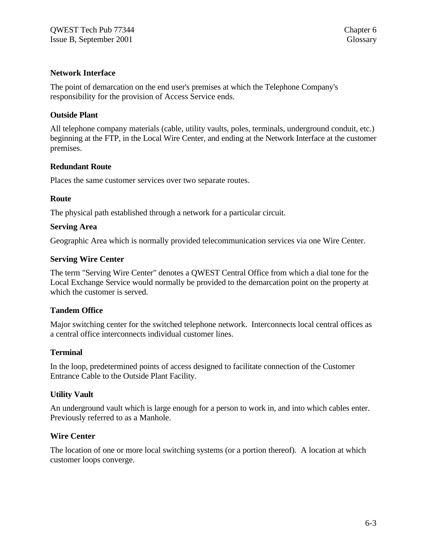## **Network Interface**

The point of demarcation on the end user's premises at which the Telephone Company's responsibility for the provision of Access Service ends.

## **Outside Plant**

All telephone company materials (cable, utility vaults, poles, terminals, underground conduit, etc.) beginning at the FTP, in the Local Wire Center, and ending at the Network Interface at the customer premises.

## **Redundant Route**

Places the same customer services over two separate routes.

## **Route**

The physical path established through a network for a particular circuit.

## **Serving Area**

Geographic Area which is normally provided telecommunication services via one Wire Center.

## **Serving Wire Center**

The term "Serving Wire Center" denotes a QWEST Central Office from which a dial tone for the Local Exchange Service would normally be provided to the demarcation point on the property at which the customer is served.

## **Tandem Office**

Major switching center for the switched telephone network. Interconnects local central offices as a central office interconnects individual customer lines.

## **Terminal**

In the loop, predetermined points of access designed to facilitate connection of the Customer Entrance Cable to the Outside Plant Facility.

## **Utility Vault**

An underground vault which is large enough for a person to work in, and into which cables enter. Previously referred to as a Manhole.

## **Wire Center**

The location of one or more local switching systems (or a portion thereof). A location at which customer loops converge.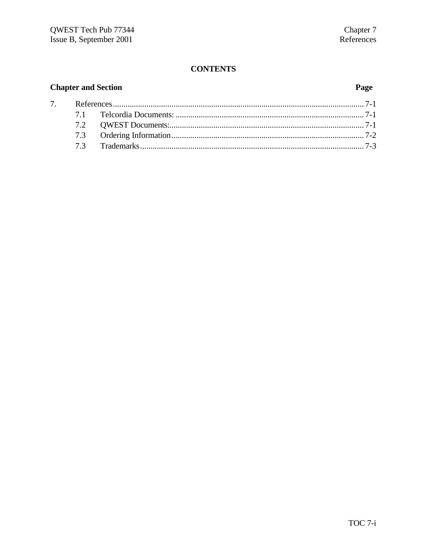## **Chapter and Section**

7.

## Page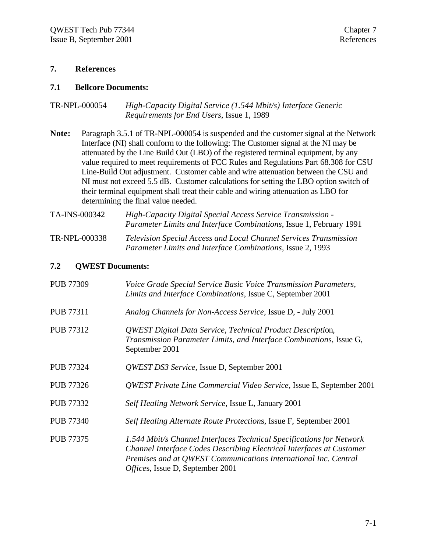## **7. References**

## **7.1 Bellcore Documents:**

| TR-NPL-000054 | High-Capacity Digital Service (1.544 Mbit/s) Interface Generic |
|---------------|----------------------------------------------------------------|
|               | <i>Requirements for End Users, Issue 1, 1989</i>               |

- **Note:** Paragraph 3.5.1 of TR-NPL-000054 is suspended and the customer signal at the Network Interface (NI) shall conform to the following: The Customer signal at the NI may be attenuated by the Line Build Out (LBO) of the registered terminal equipment, by any value required to meet requirements of FCC Rules and Regulations Part 68.308 for CSU Line-Build Out adjustment. Customer cable and wire attenuation between the CSU and NI must not exceed 5.5 dB. Customer calculations for setting the LBO option switch of their terminal equipment shall treat their cable and wiring attenuation as LBO for determining the final value needed.
- TA-INS-000342 *High-Capacity Digital Special Access Service Transmission - Parameter Limits and Interface Combinations*, Issue 1, February 1991 TR-NPL-000338 *Television Special Access and Local Channel Services Transmission Parameter Limits and Interface Combinations*, Issue 2, 1993

## **7.2 QWEST Documents:**

| <b>PUB 77309</b> | Voice Grade Special Service Basic Voice Transmission Parameters,<br>Limits and Interface Combinations, Issue C, September 2001                                                                                                                      |
|------------------|-----------------------------------------------------------------------------------------------------------------------------------------------------------------------------------------------------------------------------------------------------|
| <b>PUB 77311</b> | Analog Channels for Non-Access Service, Issue D, - July 2001                                                                                                                                                                                        |
| <b>PUB 77312</b> | <i><b>QWEST Digital Data Service, Technical Product Description,</b></i><br>Transmission Parameter Limits, and Interface Combinations, Issue G,<br>September 2001                                                                                   |
| <b>PUB 77324</b> | QWEST DS3 Service, Issue D, September 2001                                                                                                                                                                                                          |
| <b>PUB 77326</b> | <b>QWEST Private Line Commercial Video Service, Issue E, September 2001</b>                                                                                                                                                                         |
| <b>PUB 77332</b> | Self Healing Network Service, Issue L, January 2001                                                                                                                                                                                                 |
| <b>PUB 77340</b> | Self Healing Alternate Route Protections, Issue F, September 2001                                                                                                                                                                                   |
| <b>PUB 77375</b> | 1.544 Mbit/s Channel Interfaces Technical Specifications for Network<br>Channel Interface Codes Describing Electrical Interfaces at Customer<br>Premises and at QWEST Communications International Inc. Central<br>Offices, Issue D, September 2001 |